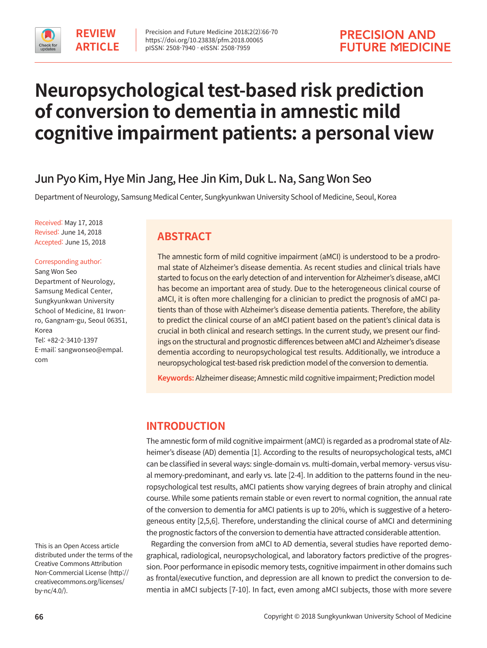

# **Neuropsychological test-based risk prediction of conversion to dementia in amnestic mild cognitive impairment patients: a personal view**

# Jun Pyo Kim, Hye Min Jang, Hee Jin Kim, Duk L. Na, Sang Won Seo

Department of Neurology, Samsung Medical Center, Sungkyunkwan University School of Medicine, Seoul, Korea

Received: May 17, 2018 Revised: June 14, 2018 Accepted: June 15, 2018

#### Corresponding author:

Sang Won Seo Department of Neurology, Samsung Medical Center, Sungkyunkwan University School of Medicine, 81 Irwonro, Gangnam-gu, Seoul 06351, Korea Tel: +82-2-3410-1397 E-mail: sangwonseo@empal. com

This is an Open Access article distributed under the terms of the Creative Commons Attribution Non-Commercial License (http:// creativecommons.org/licenses/ by-nc/4.0/).

# **ABSTRACT**

The amnestic form of mild cognitive impairment (aMCI) is understood to be a prodromal state of Alzheimer's disease dementia. As recent studies and clinical trials have started to focus on the early detection of and intervention for Alzheimer's disease, aMCI has become an important area of study. Due to the heterogeneous clinical course of aMCI, it is often more challenging for a clinician to predict the prognosis of aMCI patients than of those with Alzheimer's disease dementia patients. Therefore, the ability to predict the clinical course of an aMCI patient based on the patient's clinical data is crucial in both clinical and research settings. In the current study, we present our findings on the structural and prognostic differences between aMCI and Alzheimer's disease dementia according to neuropsychological test results. Additionally, we introduce a neuropsychological test-based risk prediction model of the conversion to dementia.

**Keywords:** Alzheimer disease; Amnestic mild cognitive impairment; Prediction model

# **INTRODUCTION**

The amnestic form of mild cognitive impairment (aMCI) is regarded as a prodromal state of Alzheimer's disease (AD) dementia [1]. According to the results of neuropsychological tests, aMCI can be classified in several ways: single-domain vs. multi-domain, verbal memory- versus visual memory-predominant, and early vs. late [2-4]. In addition to the patterns found in the neuropsychological test results, aMCI patients show varying degrees of brain atrophy and clinical course. While some patients remain stable or even revert to normal cognition, the annual rate of the conversion to dementia for aMCI patients is up to 20%, which is suggestive of a heterogeneous entity [2,5,6]. Therefore, understanding the clinical course of aMCI and determining the prognostic factors of the conversion to dementia have attracted considerable attention.

Regarding the conversion from aMCI to AD dementia, several studies have reported demographical, radiological, neuropsychological, and laboratory factors predictive of the progression. Poor performance in episodic memory tests, cognitive impairment in other domains such as frontal/executive function, and depression are all known to predict the conversion to dementia in aMCI subjects [7-10]. In fact, even among aMCI subjects, those with more severe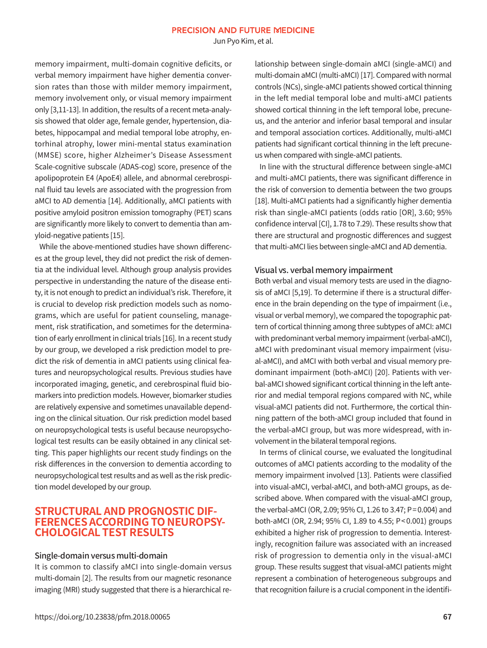Jun Pyo Kim, et al.

memory impairment, multi-domain cognitive deficits, or verbal memory impairment have higher dementia conversion rates than those with milder memory impairment, memory involvement only, or visual memory impairment only [3,11-13]. In addition, the results of a recent meta-analysis showed that older age, female gender, hypertension, diabetes, hippocampal and medial temporal lobe atrophy, entorhinal atrophy, lower mini-mental status examination (MMSE) score, higher Alzheimer's Disease Assessment Scale-cognitive subscale (ADAS-cog) score, presence of the apolipoprotein E4 (ApoE4) allele, and abnormal cerebrospinal fluid tau levels are associated with the progression from aMCI to AD dementia [14]. Additionally, aMCI patients with positive amyloid positron emission tomography (PET) scans are significantly more likely to convert to dementia than amyloid-negative patients [15].

While the above-mentioned studies have shown differences at the group level, they did not predict the risk of dementia at the individual level. Although group analysis provides perspective in understanding the nature of the disease entity, it is not enough to predict an individual's risk. Therefore, it is crucial to develop risk prediction models such as nomograms, which are useful for patient counseling, management, risk stratification, and sometimes for the determination of early enrollment in clinical trials [16]. In a recent study by our group, we developed a risk prediction model to predict the risk of dementia in aMCI patients using clinical features and neuropsychological results. Previous studies have incorporated imaging, genetic, and cerebrospinal fluid biomarkers into prediction models. However, biomarker studies are relatively expensive and sometimes unavailable depending on the clinical situation. Our risk prediction model based on neuropsychological tests is useful because neuropsychological test results can be easily obtained in any clinical setting. This paper highlights our recent study findings on the risk differences in the conversion to dementia according to neuropsychological test results and as well as the risk prediction model developed by our group.

# **STRUCTURAL AND PROGNOSTIC DIF-FERENCES ACCORDING TO NEUROPSY-CHOLOGICAL TEST RESULTS**

#### Single-domain versus multi-domain

It is common to classify aMCI into single-domain versus multi-domain [2]. The results from our magnetic resonance imaging (MRI) study suggested that there is a hierarchical relationship between single-domain aMCI (single-aMCI) and multi-domain aMCI (multi-aMCI) [17]. Compared with normal controls (NCs), single-aMCI patients showed cortical thinning in the left medial temporal lobe and multi-aMCI patients showed cortical thinning in the left temporal lobe, precuneus, and the anterior and inferior basal temporal and insular and temporal association cortices. Additionally, multi-aMCI patients had significant cortical thinning in the left precuneus when compared with single-aMCI patients.

In line with the structural difference between single-aMCI and multi-aMCI patients, there was significant difference in the risk of conversion to dementia between the two groups [18]. Multi-aMCI patients had a significantly higher dementia risk than single-aMCI patients (odds ratio [OR], 3.60; 95% confidence interval [CI], 1.78 to 7.29). These results show that there are structural and prognostic differences and suggest that multi-aMCI lies between single-aMCI and AD dementia.

#### Visual vs. verbal memory impairment

Both verbal and visual memory tests are used in the diagnosis of aMCI [5,19]. To determine if there is a structural difference in the brain depending on the type of impairment (i.e., visual or verbal memory), we compared the topographic pattern of cortical thinning among three subtypes of aMCI: aMCI with predominant verbal memory impairment (verbal-aMCI), aMCI with predominant visual memory impairment (visual-aMCI), and aMCI with both verbal and visual memory predominant impairment (both-aMCI) [20]. Patients with verbal-aMCI showed significant cortical thinning in the left anterior and medial temporal regions compared with NC, while visual-aMCI patients did not. Furthermore, the cortical thinning pattern of the both-aMCI group included that found in the verbal-aMCI group, but was more widespread, with involvement in the bilateral temporal regions.

In terms of clinical course, we evaluated the longitudinal outcomes of aMCI patients according to the modality of the memory impairment involved [13]. Patients were classified into visual-aMCI, verbal-aMCI, and both-aMCI groups, as described above. When compared with the visual-aMCI group, the verbal-aMCI (OR, 2.09; 95% CI, 1.26 to 3.47; P= 0.004) and both-aMCI (OR, 2.94; 95% CI, 1.89 to 4.55; P< 0.001) groups exhibited a higher risk of progression to dementia. Interestingly, recognition failure was associated with an increased risk of progression to dementia only in the visual-aMCI group. These results suggest that visual-aMCI patients might represent a combination of heterogeneous subgroups and that recognition failure is a crucial component in the identifi-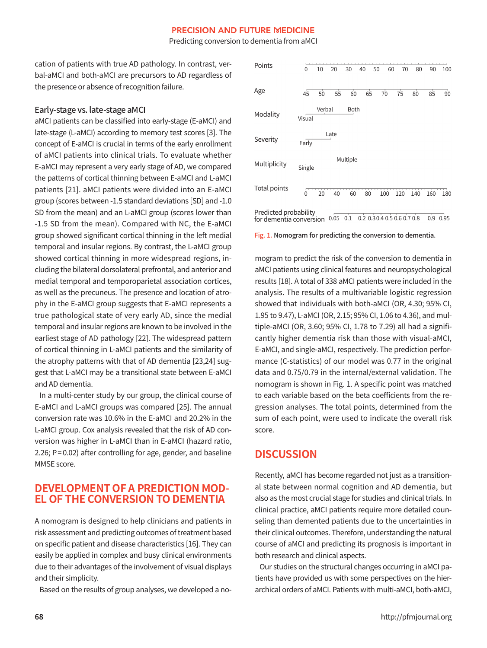Predicting conversion to dementia from aMCI

cation of patients with true AD pathology. In contrast, verbal-aMCI and both-aMCI are precursors to AD regardless of the presence or absence of recognition failure.

#### Early-stage vs. late-stage aMCI

aMCI patients can be classified into early-stage (E-aMCI) and late-stage (L-aMCI) according to memory test scores [3]. The concept of E-aMCI is crucial in terms of the early enrollment of aMCI patients into clinical trials. To evaluate whether E-aMCI may represent a very early stage of AD, we compared the patterns of cortical thinning between E-aMCI and L-aMCI patients [21]. aMCI patients were divided into an E-aMCI group (scores between -1.5 standard deviations [SD] and -1.0 SD from the mean) and an L-aMCI group (scores lower than -1.5 SD from the mean). Compared with NC, the E-aMCI group showed significant cortical thinning in the left medial temporal and insular regions. By contrast, the L-aMCI group showed cortical thinning in more widespread regions, including the bilateral dorsolateral prefrontal, and anterior and medial temporal and temporoparietal association cortices, as well as the precuneus. The presence and location of atrophy in the E-aMCI group suggests that E-aMCI represents a true pathological state of very early AD, since the medial temporal and insular regions are known to be involved in the earliest stage of AD pathology [22]. The widespread pattern of cortical thinning in L-aMCI patients and the similarity of the atrophy patterns with that of AD dementia [23,24] suggest that L-aMCI may be a transitional state between E-aMCI and AD dementia.

In a multi-center study by our group, the clinical course of E-aMCI and L-aMCI groups was compared [25]. The annual conversion rate was 10.6% in the E-aMCI and 20.2% in the L-aMCI group. Cox analysis revealed that the risk of AD conversion was higher in L-aMCI than in E-aMCI (hazard ratio, 2.26; P= 0.02) after controlling for age, gender, and baseline MMSE score.

# **DEVELOPMENT OF A PREDICTION MOD-EL OF THE CONVERSION TO DEMENTIA**

A nomogram is designed to help clinicians and patients in risk assessment and predicting outcomes of treatment based on specific patient and disease characteristics [16]. They can easily be applied in complex and busy clinical environments due to their advantages of the involvement of visual displays and their simplicity.

Based on the results of group analyses, we developed a no-



Fig. 1. Nomogram for predicting the conversion to dementia.

mogram to predict the risk of the conversion to dementia in aMCI patients using clinical features and neuropsychological results [18]. A total of 338 aMCI patients were included in the analysis. The results of a multivariable logistic regression showed that individuals with both-aMCI (OR, 4.30; 95% CI, 1.95 to 9.47), L-aMCI (OR, 2.15; 95% CI, 1.06 to 4.36), and multiple-aMCI (OR, 3.60; 95% CI, 1.78 to 7.29) all had a significantly higher dementia risk than those with visual-aMCI, E-aMCI, and single-aMCI, respectively. The prediction performance (C-statistics) of our model was 0.77 in the original data and 0.75/0.79 in the internal/external validation. The nomogram is shown in Fig. 1. A specific point was matched to each variable based on the beta coefficients from the regression analyses. The total points, determined from the sum of each point, were used to indicate the overall risk score.

### **DISCUSSION**

Recently, aMCI has become regarded not just as a transitional state between normal cognition and AD dementia, but also as the most crucial stage for studies and clinical trials. In clinical practice, aMCI patients require more detailed counseling than demented patients due to the uncertainties in their clinical outcomes. Therefore, understanding the natural course of aMCI and predicting its prognosis is important in both research and clinical aspects.

Our studies on the structural changes occurring in aMCI patients have provided us with some perspectives on the hierarchical orders of aMCI. Patients with multi-aMCI, both-aMCI,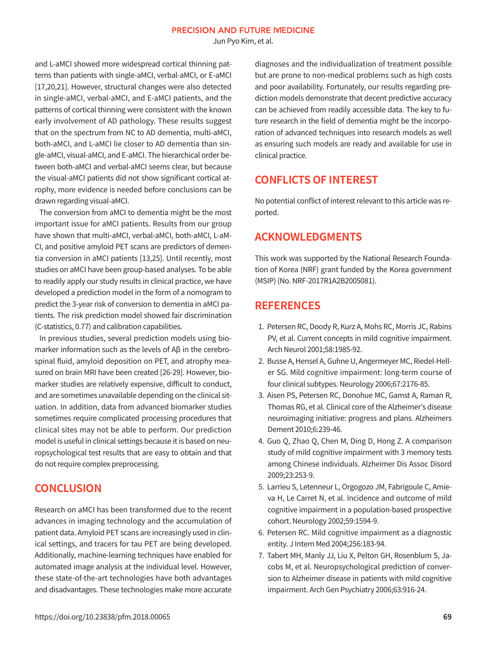Jun Pyo Kim, et al.

and L-aMCI showed more widespread cortical thinning patterns than patients with single-aMCI, verbal-aMCI, or E-aMCI [17,20,21]. However, structural changes were also detected in single-aMCI, verbal-aMCI, and E-aMCI patients, and the patterns of cortical thinning were consistent with the known early involvement of AD pathology. These results suggest that on the spectrum from NC to AD dementia, multi-aMCI, both-aMCI, and L-aMCI lie closer to AD dementia than single-aMCI, visual-aMCI, and E-aMCI. The hierarchical order between both-aMCI and verbal-aMCI seems clear, but because the visual-aMCI patients did not show significant cortical atrophy, more evidence is needed before conclusions can be drawn regarding visual-aMCI.

The conversion from aMCI to dementia might be the most important issue for aMCI patients. Results from our group have shown that multi-aMCI, verbal-aMCI, both-aMCI, L-aM-CI, and positive amyloid PET scans are predictors of dementia conversion in aMCI patients [13,25]. Until recently, most studies on aMCI have been group-based analyses. To be able to readily apply our study results in clinical practice, we have developed a prediction model in the form of a nomogram to predict the 3-year risk of conversion to dementia in aMCI patients. The risk prediction model showed fair discrimination (C-statistics, 0.77) and calibration capabilities.

In previous studies, several prediction models using biomarker information such as the levels of Aβ in the cerebrospinal fluid, amyloid deposition on PET, and atrophy measured on brain MRI have been created [26-29]. However, biomarker studies are relatively expensive, difficult to conduct, and are sometimes unavailable depending on the clinical situation. In addition, data from advanced biomarker studies sometimes require complicated processing procedures that clinical sites may not be able to perform. Our prediction model is useful in clinical settings because it is based on neuropsychological test results that are easy to obtain and that do not require complex preprocessing.

# **CONCLUSION**

Research on aMCI has been transformed due to the recent advances in imaging technology and the accumulation of patient data. Amyloid PET scans are increasingly used in clinical settings, and tracers for tau PET are being developed. Additionally, machine-learning techniques have enabled for automated image analysis at the individual level. However, these state-of-the-art technologies have both advantages and disadvantages. These technologies make more accurate

diagnoses and the individualization of treatment possible but are prone to non-medical problems such as high costs and poor availability. Fortunately, our results regarding prediction models demonstrate that decent predictive accuracy can be achieved from readily accessible data. The key to future research in the field of dementia might be the incorporation of advanced techniques into research models as well as ensuring such models are ready and available for use in clinical practice.

# **CONFLICTS OF INTEREST**

No potential conflict of interest relevant to this article was reported.

# **ACKNOWLEDGMENTS**

This work was supported by the National Research Foundation of Korea (NRF) grant funded by the Korea government (MSIP) (No. NRF-2017R1A2B2005081).

# **REFERENCES**

- 1. Petersen RC, Doody R, Kurz A, Mohs RC, Morris JC, Rabins PV, et al. Current concepts in mild cognitive impairment. Arch Neurol 2001;58:1985-92.
- 2. Busse A, Hensel A, Guhne U, Angermeyer MC, Riedel-Heller SG. Mild cognitive impairment: long-term course of four clinical subtypes. Neurology 2006;67:2176-85.
- 3. Aisen PS, Petersen RC, Donohue MC, Gamst A, Raman R, Thomas RG, et al. Clinical core of the Alzheimer's disease neuroimaging initiative: progress and plans. Alzheimers Dement 2010;6:239-46.
- 4. Guo Q, Zhao Q, Chen M, Ding D, Hong Z. A comparison study of mild cognitive impairment with 3 memory tests among Chinese individuals. Alzheimer Dis Assoc Disord 2009;23:253-9.
- 5. Larrieu S, Letenneur L, Orgogozo JM, Fabrigoule C, Amieva H, Le Carret N, et al. Incidence and outcome of mild cognitive impairment in a population-based prospective cohort. Neurology 2002;59:1594-9.
- 6. Petersen RC. Mild cognitive impairment as a diagnostic entity. J Intern Med 2004;256:183-94.
- 7. Tabert MH, Manly JJ, Liu X, Pelton GH, Rosenblum S, Jacobs M, et al. Neuropsychological prediction of conversion to Alzheimer disease in patients with mild cognitive impairment. Arch Gen Psychiatry 2006;63:916-24.